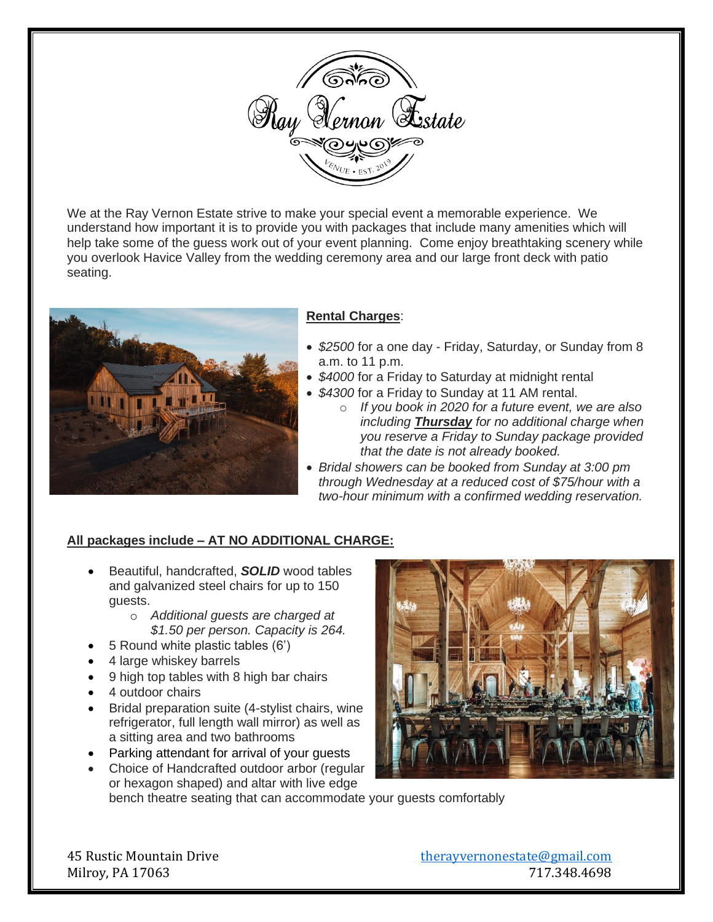

We at the Ray Vernon Estate strive to make your special event a memorable experience. We understand how important it is to provide you with packages that include many amenities which will help take some of the guess work out of your event planning. Come enjoy breathtaking scenery while you overlook Havice Valley from the wedding ceremony area and our large front deck with patio seating.



# **Rental Charges**:

- *\$2500* for a one day Friday, Saturday, or Sunday from 8 a.m. to 11 p.m.
- \$4000 for a Friday to Saturday at midnight rental
- *\$4300* for a Friday to Sunday at 11 AM rental.
	- o *If you book in 2020 for a future event, we are also including Thursday for no additional charge when you reserve a Friday to Sunday package provided that the date is not already booked.*
- *Bridal showers can be booked from Sunday at 3:00 pm through Wednesday at a reduced cost of \$75/hour with a two-hour minimum with a confirmed wedding reservation.*

# **All packages include – AT NO ADDITIONAL CHARGE:**

- Beautiful, handcrafted, *SOLID* wood tables and galvanized steel chairs for up to 150 guests.
	- o *Additional guests are charged at \$1.50 per person. Capacity is 264.*
- 5 Round white plastic tables (6')
- 4 large whiskey barrels
- 9 high top tables with 8 high bar chairs
- 4 outdoor chairs
- Bridal preparation suite (4-stylist chairs, wine refrigerator, full length wall mirror) as well as a sitting area and two bathrooms
- Parking attendant for arrival of your guests
- Choice of Handcrafted outdoor arbor (regular or hexagon shaped) and altar with live edge



bench theatre seating that can accommodate your guests comfortably

45 Rustic Mountain Drive [therayvernonestate@gmail.com](mailto:therayvernonestate@gmail.com) Milroy, PA 17063 717.348.4698